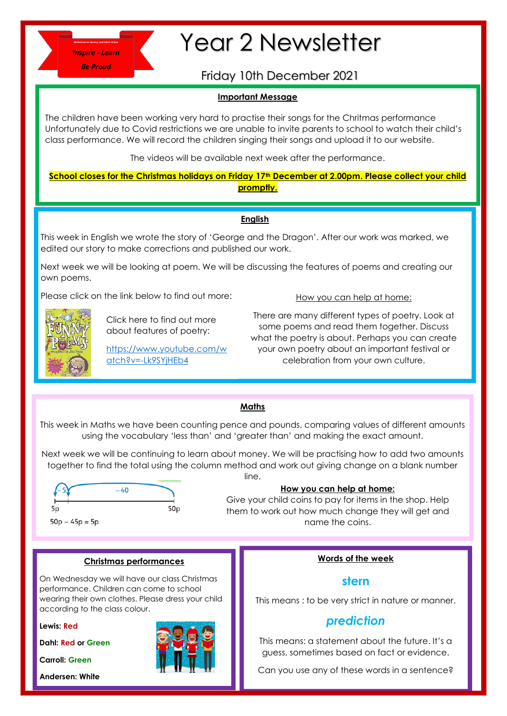

# Year 2 Newsletter

# Friday 10th December 2021

# **Important Message**

The children have been working very hard to practise their songs for the Chritmas performance Unfortunately due to Covid restrictions we are unable to invite parents to school to watch their child's class performance. We will record the children singing their songs and upload it to our website.

The videos will be available next week after the performance.

**School closes for the Christmas holidays on Friday 17th December at 2.00pm. Please collect your child promptly.**

# **English**

This week in English we wrote the story of 'George and the Dragon'. After our work was marked, we edited our story to make corrections and published our work.

Next week we will be looking at poem. We will be discussing the features of poems and creating our own poems.

Please click on the link below to find out more:

Click here to find out more about features of poetry:

[https://www.youtube.com/w](https://www.youtube.com/watch?v=-Lk9SYjHEb4) [atch?v=-Lk9SYjHEb4](https://www.youtube.com/watch?v=-Lk9SYjHEb4)

## How you can help at home:

There are many different types of poetry. Look at some poems and read them together. Discuss what the poetry is about. Perhaps you can create your own poetry about an important festival or celebration from your own culture.

# **Maths**

This week in Maths we have been counting pence and pounds, comparing values of different amounts using the vocabulary 'less than' and 'greater than' and making the exact amount.

Next week we will be continuing to learn about money. We will be practising how to add two amounts together to find the total using the column method and work out giving change on a blank number line.



# **How you can help at home:**

Give your child coins to pay for items in the shop. Help them to work out how much change they will get and name the coins.

# **Words of the week**

# **stern**

This means : to be very strict in nature or manner.

# *prediction*

This means: a statement about the future. It's a guess, sometimes based on fact or evidence.

Can you use any of these words in a sentence?

**Christmas performances**

On Wednesday we will have our class Christmas performance. Children can come to school wearing their own clothes. Please dress your child according to the class colour.

**Lewis: Red**

**Dahl: Red or Green**

**Carroll: Green**

**Andersen: White**